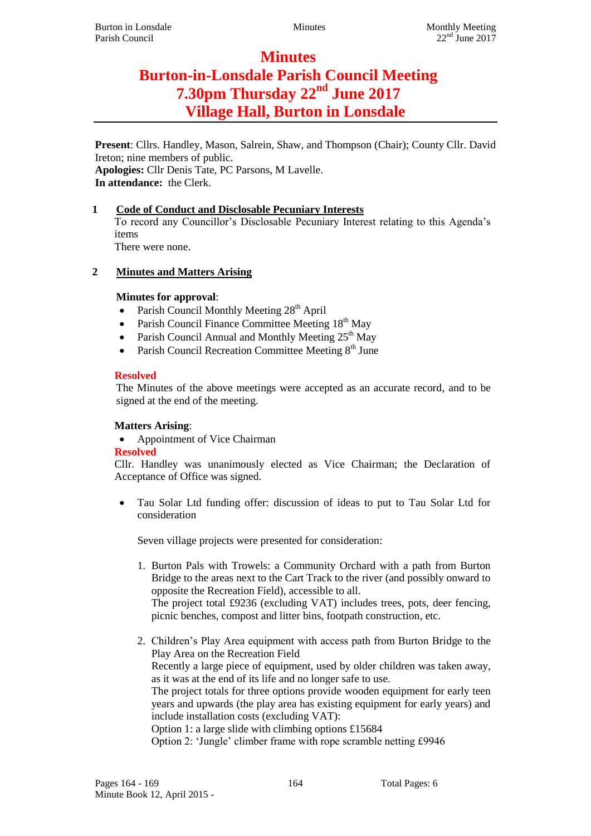# **Minutes Burton-in-Lonsdale Parish Council Meeting 7.30pm Thursday 22nd June 2017 Village Hall, Burton in Lonsdale**

**Present**: Cllrs. Handley, Mason, Salrein, Shaw, and Thompson (Chair); County Cllr. David Ireton; nine members of public. **Apologies:** Cllr Denis Tate, PC Parsons, M Lavelle.

**In attendance:** the Clerk.

## **1 Code of Conduct and Disclosable Pecuniary Interests**

To record any Councillor's Disclosable Pecuniary Interest relating to this Agenda's items

There were none.

## **2 Minutes and Matters Arising**

## **Minutes for approval**:

- Parish Council Monthly Meeting  $28<sup>th</sup>$  April
- Parish Council Finance Committee Meeting  $18<sup>th</sup>$  May
- Parish Council Annual and Monthly Meeting 25<sup>th</sup> May
- Parish Council Recreation Committee Meeting  $8<sup>th</sup>$  June

## **Resolved**

The Minutes of the above meetings were accepted as an accurate record, and to be signed at the end of the meeting.

## **Matters Arising**:

Appointment of Vice Chairman

#### **Resolved**

Cllr. Handley was unanimously elected as Vice Chairman; the Declaration of Acceptance of Office was signed.

 Tau Solar Ltd funding offer: discussion of ideas to put to Tau Solar Ltd for consideration

Seven village projects were presented for consideration:

1. Burton Pals with Trowels: a Community Orchard with a path from Burton Bridge to the areas next to the Cart Track to the river (and possibly onward to opposite the Recreation Field), accessible to all.

The project total £9236 (excluding VAT) includes trees, pots, deer fencing, picnic benches, compost and litter bins, footpath construction, etc.

2. Children's Play Area equipment with access path from Burton Bridge to the Play Area on the Recreation Field

Recently a large piece of equipment, used by older children was taken away, as it was at the end of its life and no longer safe to use.

The project totals for three options provide wooden equipment for early teen years and upwards (the play area has existing equipment for early years) and include installation costs (excluding VAT):

Option 1: a large slide with climbing options £15684

Option 2: 'Jungle' climber frame with rope scramble netting £9946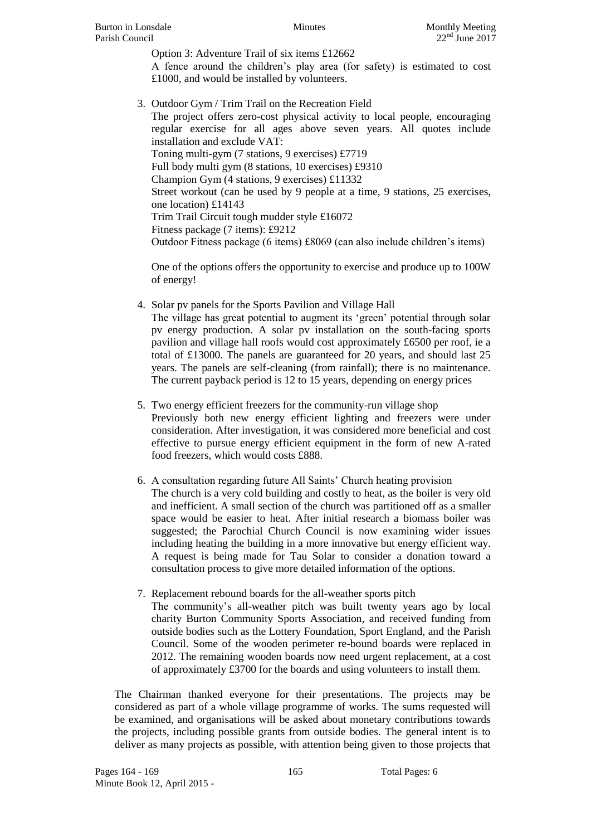Option 3: Adventure Trail of six items £12662 A fence around the children's play area (for safety) is estimated to cost £1000, and would be installed by volunteers.

3. Outdoor Gym / Trim Trail on the Recreation Field The project offers zero-cost physical activity to local people, encouraging regular exercise for all ages above seven years. All quotes include installation and exclude VAT: Toning multi-gym (7 stations, 9 exercises) £7719 Full body multi gym (8 stations, 10 exercises) £9310 Champion Gym (4 stations, 9 exercises) £11332 Street workout (can be used by 9 people at a time, 9 stations, 25 exercises, one location) £14143 Trim Trail Circuit tough mudder style £16072 Fitness package (7 items): £9212 Outdoor Fitness package (6 items) £8069 (can also include children's items)

One of the options offers the opportunity to exercise and produce up to 100W of energy!

- 4. Solar pv panels for the Sports Pavilion and Village Hall The village has great potential to augment its 'green' potential through solar pv energy production. A solar pv installation on the south-facing sports pavilion and village hall roofs would cost approximately £6500 per roof, ie a total of £13000. The panels are guaranteed for 20 years, and should last 25 years. The panels are self-cleaning (from rainfall); there is no maintenance. The current payback period is 12 to 15 years, depending on energy prices
- 5. Two energy efficient freezers for the community-run village shop Previously both new energy efficient lighting and freezers were under consideration. After investigation, it was considered more beneficial and cost effective to pursue energy efficient equipment in the form of new A-rated food freezers, which would costs £888.
- 6. A consultation regarding future All Saints' Church heating provision The church is a very cold building and costly to heat, as the boiler is very old and inefficient. A small section of the church was partitioned off as a smaller space would be easier to heat. After initial research a biomass boiler was suggested; the Parochial Church Council is now examining wider issues including heating the building in a more innovative but energy efficient way. A request is being made for Tau Solar to consider a donation toward a consultation process to give more detailed information of the options.
- 7. Replacement rebound boards for the all-weather sports pitch The community's all-weather pitch was built twenty years ago by local charity Burton Community Sports Association, and received funding from outside bodies such as the Lottery Foundation, Sport England, and the Parish Council. Some of the wooden perimeter re-bound boards were replaced in 2012. The remaining wooden boards now need urgent replacement, at a cost of approximately £3700 for the boards and using volunteers to install them.

The Chairman thanked everyone for their presentations. The projects may be considered as part of a whole village programme of works. The sums requested will be examined, and organisations will be asked about monetary contributions towards the projects, including possible grants from outside bodies. The general intent is to deliver as many projects as possible, with attention being given to those projects that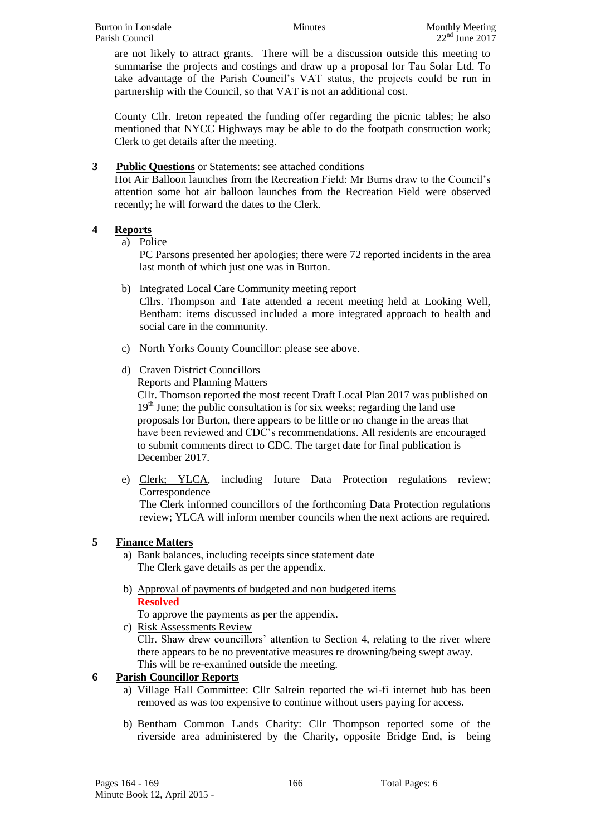are not likely to attract grants. There will be a discussion outside this meeting to summarise the projects and costings and draw up a proposal for Tau Solar Ltd. To take advantage of the Parish Council's VAT status, the projects could be run in partnership with the Council, so that VAT is not an additional cost.

County Cllr. Ireton repeated the funding offer regarding the picnic tables; he also mentioned that NYCC Highways may be able to do the footpath construction work; Clerk to get details after the meeting.

#### **3 Public Questions** or Statements: see attached conditions

Hot Air Balloon launches from the Recreation Field: Mr Burns draw to the Council's attention some hot air balloon launches from the Recreation Field were observed recently; he will forward the dates to the Clerk.

## **4 Reports**

a) Police

PC Parsons presented her apologies; there were 72 reported incidents in the area last month of which just one was in Burton.

b) Integrated Local Care Community meeting report

Cllrs. Thompson and Tate attended a recent meeting held at Looking Well, Bentham: items discussed included a more integrated approach to health and social care in the community.

- c) North Yorks County Councillor: please see above.
- d) Craven District Councillors

Reports and Planning Matters

Cllr. Thomson reported the most recent Draft Local Plan 2017 was published on  $19<sup>th</sup>$  June; the public consultation is for six weeks; regarding the land use proposals for Burton, there appears to be little or no change in the areas that have been reviewed and CDC's recommendations. All residents are encouraged to submit comments direct to CDC. The target date for final publication is December 2017.

e) Clerk; YLCA, including future Data Protection regulations review; Correspondence

The Clerk informed councillors of the forthcoming Data Protection regulations review; YLCA will inform member councils when the next actions are required.

## **5 Finance Matters**

- a) Bank balances, including receipts since statement date The Clerk gave details as per the appendix.
- b) Approval of payments of budgeted and non budgeted items **Resolved**

To approve the payments as per the appendix.

c) Risk Assessments Review

Cllr. Shaw drew councillors' attention to Section 4, relating to the river where there appears to be no preventative measures re drowning/being swept away. This will be re-examined outside the meeting.

## **6 Parish Councillor Reports**

- a) Village Hall Committee: Cllr Salrein reported the wi-fi internet hub has been removed as was too expensive to continue without users paying for access.
- b) Bentham Common Lands Charity: Cllr Thompson reported some of the riverside area administered by the Charity, opposite Bridge End, is being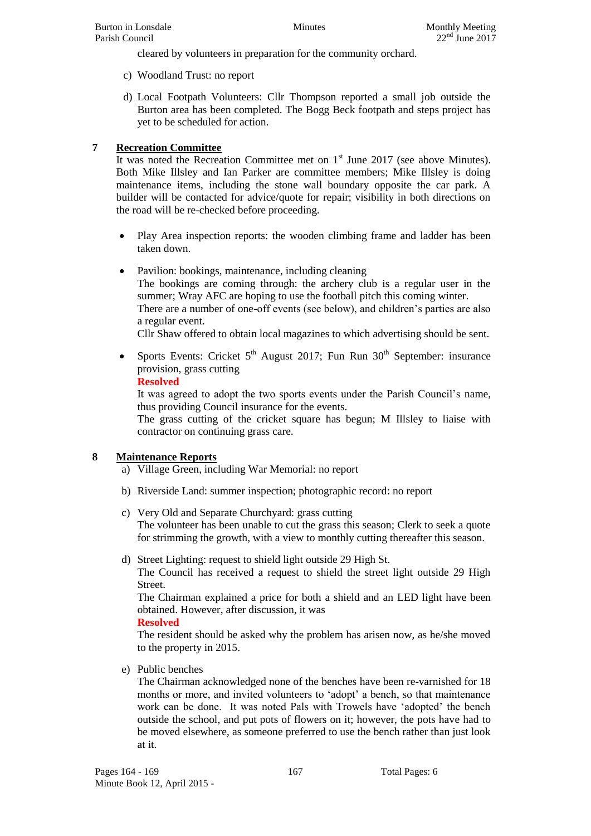cleared by volunteers in preparation for the community orchard.

- c) Woodland Trust: no report
- d) Local Footpath Volunteers: Cllr Thompson reported a small job outside the Burton area has been completed. The Bogg Beck footpath and steps project has yet to be scheduled for action.

## **7 Recreation Committee**

It was noted the Recreation Committee met on  $1<sup>st</sup>$  June 2017 (see above Minutes). Both Mike Illsley and Ian Parker are committee members; Mike Illsley is doing maintenance items, including the stone wall boundary opposite the car park. A builder will be contacted for advice/quote for repair; visibility in both directions on the road will be re-checked before proceeding.

- Play Area inspection reports: the wooden climbing frame and ladder has been taken down.
- Pavilion: bookings, maintenance, including cleaning The bookings are coming through: the archery club is a regular user in the summer; Wray AFC are hoping to use the football pitch this coming winter. There are a number of one-off events (see below), and children's parties are also a regular event. Cllr Shaw offered to obtain local magazines to which advertising should be sent.
- Sports Events: Cricket  $5<sup>th</sup>$  August 2017; Fun Run  $30<sup>th</sup>$  September: insurance provision, grass cutting

#### **Resolved**

It was agreed to adopt the two sports events under the Parish Council's name, thus providing Council insurance for the events.

The grass cutting of the cricket square has begun; M Illsley to liaise with contractor on continuing grass care.

#### **8 Maintenance Reports**

- a) Village Green, including War Memorial: no report
- b) Riverside Land: summer inspection; photographic record: no report
- c) Very Old and Separate Churchyard: grass cutting The volunteer has been unable to cut the grass this season; Clerk to seek a quote for strimming the growth, with a view to monthly cutting thereafter this season.
- d) Street Lighting: request to shield light outside 29 High St.

The Council has received a request to shield the street light outside 29 High Street.

The Chairman explained a price for both a shield and an LED light have been obtained. However, after discussion, it was

#### **Resolved**

The resident should be asked why the problem has arisen now, as he/she moved to the property in 2015.

e) Public benches

The Chairman acknowledged none of the benches have been re-varnished for 18 months or more, and invited volunteers to 'adopt' a bench, so that maintenance work can be done. It was noted Pals with Trowels have 'adopted' the bench outside the school, and put pots of flowers on it; however, the pots have had to be moved elsewhere, as someone preferred to use the bench rather than just look at it.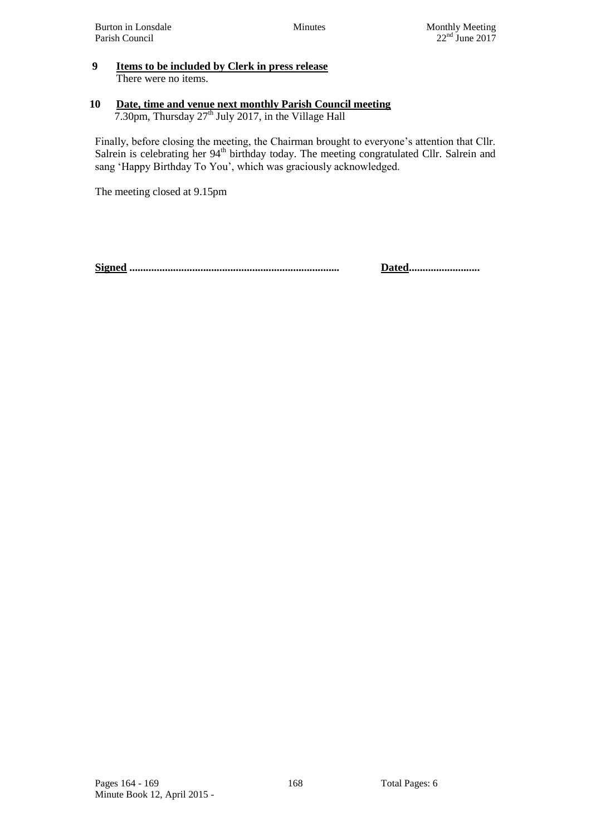#### **9 Items to be included by Clerk in press release** There were no items.

#### **10 Date, time and venue next monthly Parish Council meeting** 7.30pm, Thursday  $27<sup>th</sup>$  July 2017, in the Village Hall

Finally, before closing the meeting, the Chairman brought to everyone's attention that Cllr. Salrein is celebrating her 94<sup>th</sup> birthday today. The meeting congratulated Cllr. Salrein and sang 'Happy Birthday To You', which was graciously acknowledged.

The meeting closed at 9.15pm

**Signed ............................................................................. Dated..........................**